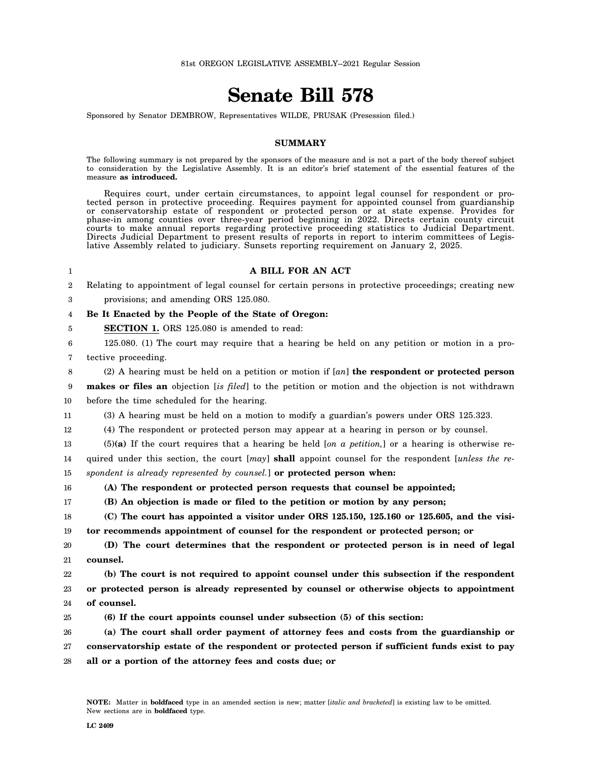## **Senate Bill 578**

Sponsored by Senator DEMBROW, Representatives WILDE, PRUSAK (Presession filed.)

## **SUMMARY**

The following summary is not prepared by the sponsors of the measure and is not a part of the body thereof subject to consideration by the Legislative Assembly. It is an editor's brief statement of the essential features of the measure **as introduced.**

Requires court, under certain circumstances, to appoint legal counsel for respondent or protected person in protective proceeding. Requires payment for appointed counsel from guardianship or conservatorship estate of respondent or protected person or at state expense. Provides for phase-in among counties over three-year period beginning in 2022. Directs certain county circuit courts to make annual reports regarding protective proceeding statistics to Judicial Department. Directs Judicial Department to present results of reports in report to interim committees of Legislative Assembly related to judiciary. Sunsets reporting requirement on January 2, 2025.

## **A BILL FOR AN ACT**

2 3 Relating to appointment of legal counsel for certain persons in protective proceedings; creating new provisions; and amending ORS 125.080.

## 4 **Be It Enacted by the People of the State of Oregon:**

**SECTION 1.** ORS 125.080 is amended to read:

6 7 125.080. (1) The court may require that a hearing be held on any petition or motion in a pro-

tective proceeding.

1

5

8 (2) A hearing must be held on a petition or motion if [*an*] **the respondent or protected person**

9 10 **makes or files an** objection [*is filed*] to the petition or motion and the objection is not withdrawn before the time scheduled for the hearing.

11 (3) A hearing must be held on a motion to modify a guardian's powers under ORS 125.323.

12 (4) The respondent or protected person may appear at a hearing in person or by counsel.

13 14 (5)**(a)** If the court requires that a hearing be held [*on a petition,*] or a hearing is otherwise required under this section, the court [*may*] **shall** appoint counsel for the respondent [*unless the re-*

15 *spondent is already represented by counsel.*] **or protected person when:**

16 **(A) The respondent or protected person requests that counsel be appointed;**

17 **(B) An objection is made or filed to the petition or motion by any person;**

18 19 **(C) The court has appointed a visitor under ORS 125.150, 125.160 or 125.605, and the visitor recommends appointment of counsel for the respondent or protected person; or**

20 21 **(D) The court determines that the respondent or protected person is in need of legal counsel.**

22 23 24 **(b) The court is not required to appoint counsel under this subsection if the respondent or protected person is already represented by counsel or otherwise objects to appointment of counsel.**

25 **(6) If the court appoints counsel under subsection (5) of this section:**

26 27 28 **(a) The court shall order payment of attorney fees and costs from the guardianship or conservatorship estate of the respondent or protected person if sufficient funds exist to pay all or a portion of the attorney fees and costs due; or**